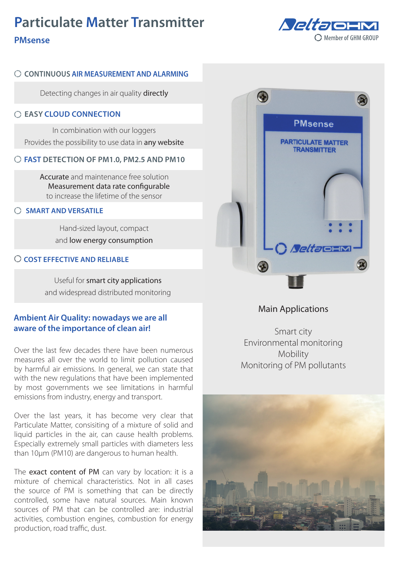# **Particulate Matter Transmitter**



# **PMsense**

### **CONTINUOUS AIR MEASUREMENT AND ALARMING**

Detecting changes in air quality directly

#### **EASY CLOUD CONNECTION**

In combination with our loggers Provides the possibility to use data in any website

#### **FAST DETECTION OF PM1.0, PM2.5 AND PM10**

Accurate and maintenance free solution Measurement data rate configurable to increase the lifetime of the sensor

#### **SMART AND VERSATILE**

Hand-sized layout, compact and low energy consumption

#### **COST EFFECTIVE AND RELIABLE**

Useful for smart city applications and widespread distributed monitoring

## **Ambient Air Quality: nowadays we are all aware of the importance of clean air!**

Over the last few decades there have been numerous measures all over the world to limit pollution caused by harmful air emissions. In general, we can state that with the new regulations that have been implemented by most governments we see limitations in harmful emissions from industry, energy and transport.

Over the last years, it has become very clear that Particulate Matter, consisiting of a mixture of solid and liquid particles in the air, can cause health problems. Especially extremely small particles with diameters less than 10μm (PM10) are dangerous to human health.

The exact content of PM can vary by location: it is a mixture of chemical characteristics. Not in all cases the source of PM is something that can be directly controlled, some have natural sources. Main known sources of PM that can be controlled are: industrial activities, combustion engines, combustion for energy production, road traffic, dust.



## Main Applications

Smart city Environmental monitoring Mobility Monitoring of PM pollutants